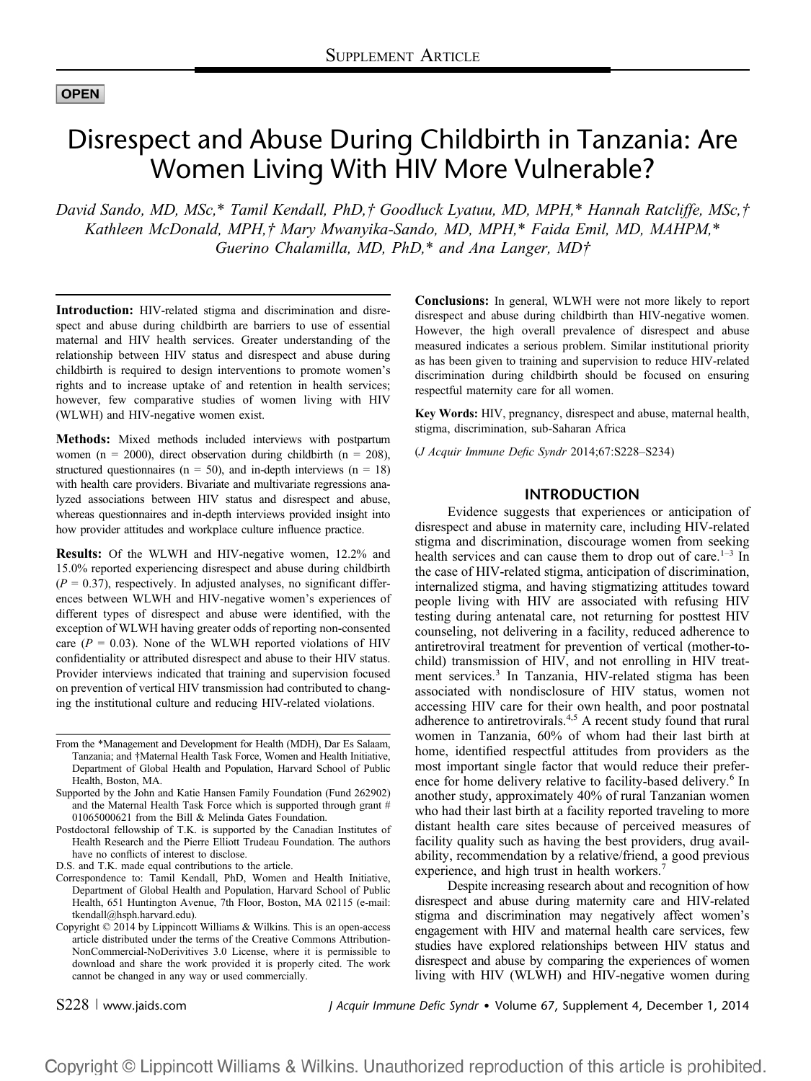# **OPEN**

# Disrespect and Abuse During Childbirth in Tanzania: Are Women Living With HIV More Vulnerable?

David Sando, MD, MSc,\* Tamil Kendall, PhD,† Goodluck Lyatuu, MD, MPH,\* Hannah Ratcliffe, MSc,† Kathleen McDonald, MPH,† Mary Mwanyika-Sando, MD, MPH,\* Faida Emil, MD, MAHPM,\* Guerino Chalamilla, MD, PhD,\* and Ana Langer, MD†

Introduction: HIV-related stigma and discrimination and disrespect and abuse during childbirth are barriers to use of essential maternal and HIV health services. Greater understanding of the relationship between HIV status and disrespect and abuse during childbirth is required to design interventions to promote women's rights and to increase uptake of and retention in health services; however, few comparative studies of women living with HIV (WLWH) and HIV-negative women exist.

Methods: Mixed methods included interviews with postpartum women (n = 2000), direct observation during childbirth (n = 208), structured questionnaires ( $n = 50$ ), and in-depth interviews ( $n = 18$ ) with health care providers. Bivariate and multivariate regressions analyzed associations between HIV status and disrespect and abuse, whereas questionnaires and in-depth interviews provided insight into how provider attitudes and workplace culture influence practice.

Results: Of the WLWH and HIV-negative women, 12.2% and 15.0% reported experiencing disrespect and abuse during childbirth  $(P = 0.37)$ , respectively. In adjusted analyses, no significant differences between WLWH and HIV-negative women's experiences of different types of disrespect and abuse were identified, with the exception of WLWH having greater odds of reporting non-consented care ( $P = 0.03$ ). None of the WLWH reported violations of HIV confidentiality or attributed disrespect and abuse to their HIV status. Provider interviews indicated that training and supervision focused on prevention of vertical HIV transmission had contributed to changing the institutional culture and reducing HIV-related violations.

- From the \*Management and Development for Health (MDH), Dar Es Salaam, Tanzania; and †Maternal Health Task Force, Women and Health Initiative, Department of Global Health and Population, Harvard School of Public Health, Boston, MA.
- Supported by the John and Katie Hansen Family Foundation (Fund 262902) and the Maternal Health Task Force which is supported through grant # 01065000621 from the Bill & Melinda Gates Foundation.
- Postdoctoral fellowship of T.K. is supported by the Canadian Institutes of Health Research and the Pierre Elliott Trudeau Foundation. The authors have no conflicts of interest to disclose.
- D.S. and T.K. made equal contributions to the article.
- Correspondence to: Tamil Kendall, PhD, Women and Health Initiative, Department of Global Health and Population, Harvard School of Public Health, 651 Huntington Avenue, 7th Floor, Boston, MA 02115 (e-mail: tkendall@hsph.harvard.edu).
- Copyright © 2014 by Lippincott Williams & Wilkins. This is an open-access article distributed under the terms of the Creative Commons Attribution-NonCommercial-NoDerivitives 3.0 License, where it is permissible to download and share the work provided it is properly cited. The work cannot be changed in any way or used commercially.

Conclusions: In general, WLWH were not more likely to report disrespect and abuse during childbirth than HIV-negative women. However, the high overall prevalence of disrespect and abuse measured indicates a serious problem. Similar institutional priority as has been given to training and supervision to reduce HIV-related discrimination during childbirth should be focused on ensuring respectful maternity care for all women.

Key Words: HIV, pregnancy, disrespect and abuse, maternal health, stigma, discrimination, sub-Saharan Africa

(J Acquir Immune Defic Syndr 2014;67:S228–S234)

# INTRODUCTION

Evidence suggests that experiences or anticipation of disrespect and abuse in maternity care, including HIV-related stigma and discrimination, discourage women from seeking health services and can cause them to drop out of care.<sup>1–3</sup> In the case of HIV-related stigma, anticipation of discrimination, internalized stigma, and having stigmatizing attitudes toward people living with HIV are associated with refusing HIV testing during antenatal care, not returning for posttest HIV counseling, not delivering in a facility, reduced adherence to antiretroviral treatment for prevention of vertical (mother-tochild) transmission of HIV, and not enrolling in HIV treatment services.<sup>3</sup> In Tanzania, HIV-related stigma has been associated with nondisclosure of HIV status, women not accessing HIV care for their own health, and poor postnatal adherence to antiretrovirals.4,5 A recent study found that rural women in Tanzania, 60% of whom had their last birth at home, identified respectful attitudes from providers as the most important single factor that would reduce their preference for home delivery relative to facility-based delivery.<sup>6</sup> In another study, approximately 40% of rural Tanzanian women who had their last birth at a facility reported traveling to more distant health care sites because of perceived measures of facility quality such as having the best providers, drug availability, recommendation by a relative/friend, a good previous experience, and high trust in health workers.<sup>7</sup>

Despite increasing research about and recognition of how disrespect and abuse during maternity care and HIV-related stigma and discrimination may negatively affect women's engagement with HIV and maternal health care services, few studies have explored relationships between HIV status and disrespect and abuse by comparing the experiences of women living with HIV (WLWH) and HIV-negative women during

S228 | www.jaids.com J Acquir Immune Defic Syndr • Volume 67, Supplement 4, December 1, 2014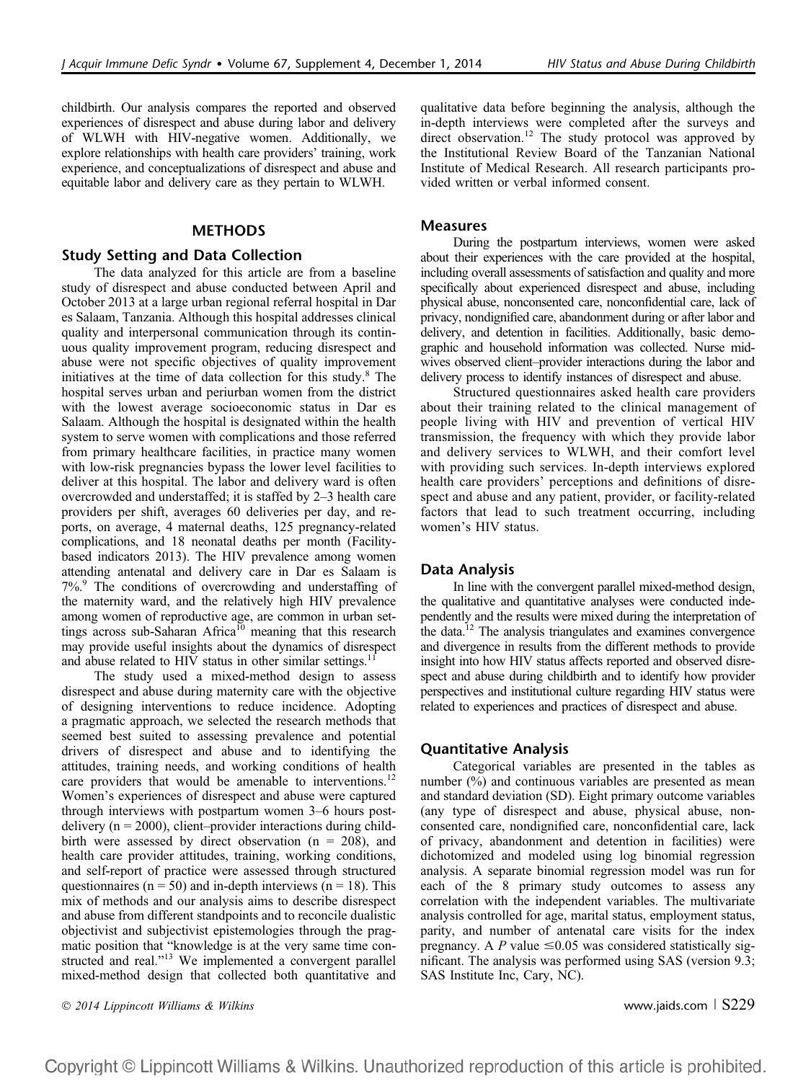childbirth. Our analysis compares the reported and observed experiences of disrespect and abuse during labor and delivery of WLWH with HIV-negative women. Additionally, we explore relationships with health care providers' training, work experience, and conceptualizations of disrespect and abuse and equitable labor and delivery care as they pertain to WLWH.

## **METHODS**

## Study Setting and Data Collection

The data analyzed for this article are from a baseline study of disrespect and abuse conducted between April and October 2013 at a large urban regional referral hospital in Dar es Salaam, Tanzania. Although this hospital addresses clinical quality and interpersonal communication through its continuous quality improvement program, reducing disrespect and abuse were not specific objectives of quality improvement initiatives at the time of data collection for this study.<sup>8</sup> The hospital serves urban and periurban women from the district with the lowest average socioeconomic status in Dar es Salaam. Although the hospital is designated within the health system to serve women with complications and those referred from primary healthcare facilities, in practice many women with low-risk pregnancies bypass the lower level facilities to deliver at this hospital. The labor and delivery ward is often overcrowded and understaffed; it is staffed by 2–3 health care providers per shift, averages 60 deliveries per day, and reports, on average, 4 maternal deaths, 125 pregnancy-related complications, and 18 neonatal deaths per month (Facilitybased indicators 2013). The HIV prevalence among women attending antenatal and delivery care in Dar es Salaam is 7%.9 The conditions of overcrowding and understaffing of the maternity ward, and the relatively high HIV prevalence among women of reproductive age, are common in urban settings across sub-Saharan Africa<sup>10</sup> meaning that this research may provide useful insights about the dynamics of disrespect and abuse related to HIV status in other similar settings.<sup>11</sup>

The study used a mixed-method design to assess disrespect and abuse during maternity care with the objective of designing interventions to reduce incidence. Adopting a pragmatic approach, we selected the research methods that seemed best suited to assessing prevalence and potential drivers of disrespect and abuse and to identifying the attitudes, training needs, and working conditions of health care providers that would be amenable to interventions.<sup>12</sup> Women's experiences of disrespect and abuse were captured through interviews with postpartum women 3–6 hours postdelivery ( $n = 2000$ ), client–provider interactions during childbirth were assessed by direct observation ( $n = 208$ ), and health care provider attitudes, training, working conditions, and self-report of practice were assessed through structured questionnaires ( $n = 50$ ) and in-depth interviews ( $n = 18$ ). This mix of methods and our analysis aims to describe disrespect and abuse from different standpoints and to reconcile dualistic objectivist and subjectivist epistemologies through the pragmatic position that "knowledge is at the very same time constructed and real."<sup>13</sup> We implemented a convergent parallel mixed-method design that collected both quantitative and

qualitative data before beginning the analysis, although the in-depth interviews were completed after the surveys and direct observation.<sup>12</sup> The study protocol was approved by the Institutional Review Board of the Tanzanian National Institute of Medical Research. All research participants provided written or verbal informed consent.

#### Measures

During the postpartum interviews, women were asked about their experiences with the care provided at the hospital, including overall assessments of satisfaction and quality and more specifically about experienced disrespect and abuse, including physical abuse, nonconsented care, nonconfidential care, lack of privacy, nondignified care, abandonment during or after labor and delivery, and detention in facilities. Additionally, basic demographic and household information was collected. Nurse midwives observed client–provider interactions during the labor and delivery process to identify instances of disrespect and abuse.

Structured questionnaires asked health care providers about their training related to the clinical management of people living with HIV and prevention of vertical HIV transmission, the frequency with which they provide labor and delivery services to WLWH, and their comfort level with providing such services. In-depth interviews explored health care providers' perceptions and definitions of disrespect and abuse and any patient, provider, or facility-related factors that lead to such treatment occurring, including women's HIV status.

#### Data Analysis

In line with the convergent parallel mixed-method design, the qualitative and quantitative analyses were conducted independently and the results were mixed during the interpretation of the data.<sup>12</sup> The analysis triangulates and examines convergence and divergence in results from the different methods to provide insight into how HIV status affects reported and observed disrespect and abuse during childbirth and to identify how provider perspectives and institutional culture regarding HIV status were related to experiences and practices of disrespect and abuse.

## Quantitative Analysis

Categorical variables are presented in the tables as number  $\left(\frac{9}{0}\right)$  and continuous variables are presented as mean and standard deviation (SD). Eight primary outcome variables (any type of disrespect and abuse, physical abuse, nonconsented care, nondignified care, nonconfidential care, lack of privacy, abandonment and detention in facilities) were dichotomized and modeled using log binomial regression analysis. A separate binomial regression model was run for each of the 8 primary study outcomes to assess any correlation with the independent variables. The multivariate analysis controlled for age, marital status, employment status, parity, and number of antenatal care visits for the index pregnancy. A P value  $\leq 0.05$  was considered statistically significant. The analysis was performed using SAS (version 9.3; SAS Institute Inc, Cary, NC).

 $\degree$  2014 Lippincott Williams & Wilkins www.jaids.com  $\degree$  S229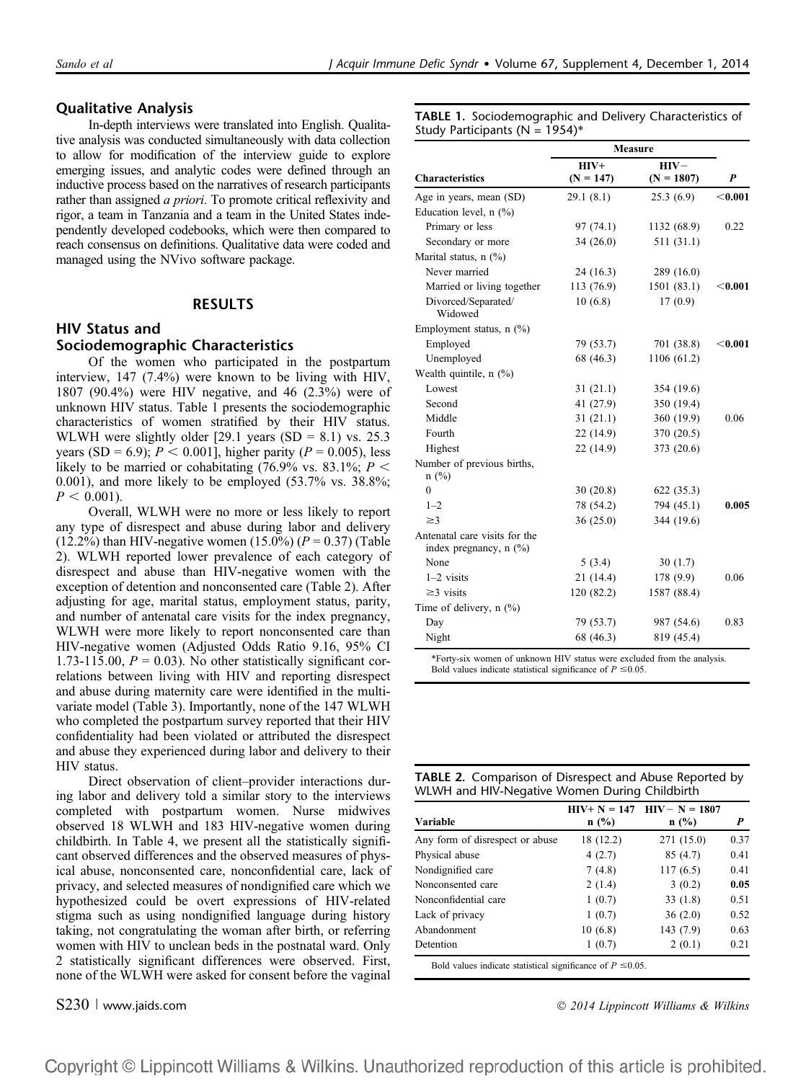# Qualitative Analysis

In-depth interviews were translated into English. Qualitative analysis was conducted simultaneously with data collection to allow for modification of the interview guide to explore emerging issues, and analytic codes were defined through an inductive process based on the narratives of research participants rather than assigned *a priori*. To promote critical reflexivity and rigor, a team in Tanzania and a team in the United States independently developed codebooks, which were then compared to reach consensus on definitions. Qualitative data were coded and managed using the NVivo software package.

## RESULTS

# HIV Status and Sociodemographic Characteristics

Of the women who participated in the postpartum interview, 147 (7.4%) were known to be living with HIV, 1807 (90.4%) were HIV negative, and 46 (2.3%) were of unknown HIV status. Table 1 presents the sociodemographic characteristics of women stratified by their HIV status. WLWH were slightly older [29.1 years  $(SD = 8.1)$  vs. 25.3 years (SD = 6.9);  $P < 0.001$ ], higher parity ( $P = 0.005$ ), less likely to be married or cohabitating (76.9% vs. 83.1%;  $P \leq$ 0.001), and more likely to be employed (53.7% vs. 38.8%;  $P < 0.001$ ).

Overall, WLWH were no more or less likely to report any type of disrespect and abuse during labor and delivery (12.2%) than HIV-negative women (15.0%) ( $P = 0.37$ ) (Table 2). WLWH reported lower prevalence of each category of disrespect and abuse than HIV-negative women with the exception of detention and nonconsented care (Table 2). After adjusting for age, marital status, employment status, parity, and number of antenatal care visits for the index pregnancy, WLWH were more likely to report nonconsented care than HIV-negative women (Adjusted Odds Ratio 9.16, 95% CI 1.73-115.00,  $P = 0.03$ ). No other statistically significant correlations between living with HIV and reporting disrespect and abuse during maternity care were identified in the multivariate model (Table 3). Importantly, none of the 147 WLWH who completed the postpartum survey reported that their HIV confidentiality had been violated or attributed the disrespect and abuse they experienced during labor and delivery to their HIV status.

Direct observation of client–provider interactions during labor and delivery told a similar story to the interviews completed with postpartum women. Nurse midwives observed 18 WLWH and 183 HIV-negative women during childbirth. In Table 4, we present all the statistically significant observed differences and the observed measures of physical abuse, nonconsented care, nonconfidential care, lack of privacy, and selected measures of nondignified care which we hypothesized could be overt expressions of HIV-related stigma such as using nondignified language during history taking, not congratulating the woman after birth, or referring women with HIV to unclean beds in the postnatal ward. Only 2 statistically significant differences were observed. First, none of the WLWH were asked for consent before the vaginal

| TABLE 1. Sociodemographic and Delivery Characteristics of |
|-----------------------------------------------------------|
| Study Participants ( $N = 1954$ )*                        |

|                                                              | <b>Measure</b>        |                        |                |
|--------------------------------------------------------------|-----------------------|------------------------|----------------|
| <b>Characteristics</b>                                       | $HIV+$<br>$(N = 147)$ | $HIV-$<br>$(N = 1807)$ | P              |
| Age in years, mean (SD)                                      | 29.1(8.1)             | 25.3(6.9)              | < 0.001        |
| Education level, $n$ $(\%)$                                  |                       |                        |                |
| Primary or less                                              | 97 (74.1)             | 1132 (68.9)            | 0.22           |
| Secondary or more                                            | 34 (26.0)             | 511 (31.1)             |                |
| Marital status, $n$ $(\%)$                                   |                       |                        |                |
| Never married                                                | 24 (16.3)             | 289 (16.0)             |                |
| Married or living together                                   | 113 (76.9)            | 1501 (83.1)            | $<$ 0.001 $\,$ |
| Divorced/Separated/<br>Widowed                               | 10(6.8)               | 17(0.9)                |                |
| Employment status, $n$ (%)                                   |                       |                        |                |
| Employed                                                     | 79 (53.7)             | 701 (38.8)             | $<$ 0.001 $\,$ |
| Unemployed                                                   | 68 (46.3)             | 1106 (61.2)            |                |
| Wealth quintile, n (%)                                       |                       |                        |                |
| Lowest                                                       | 31(21.1)              | 354 (19.6)             |                |
| Second                                                       | 41 (27.9)             | 350 (19.4)             |                |
| Middle                                                       | 31(21.1)              | 360 (19.9)             | 0.06           |
| Fourth                                                       | 22 (14.9)             | 370 (20.5)             |                |
| Highest                                                      | 22 (14.9)             | 373 (20.6)             |                |
| Number of previous births,<br>$n$ (%)                        |                       |                        |                |
| $\theta$                                                     | 30(20.8)              | 622(35.3)              |                |
| $1 - 2$                                                      | 78 (54.2)             | 794 (45.1)             | 0.005          |
| $\geq$ 3                                                     | 36(25.0)              | 344 (19.6)             |                |
| Antenatal care visits for the<br>index pregnancy, $n$ $(\%)$ |                       |                        |                |
| None                                                         | 5(3.4)                | 30(1.7)                |                |
| $1-2$ visits                                                 | 21 (14.4)             | 178 (9.9)              | 0.06           |
| $\geq$ 3 visits                                              | 120 (82.2)            | 1587 (88.4)            |                |
| Time of delivery, $n$ $(\%)$                                 |                       |                        |                |
| Day                                                          | 79 (53.7)             | 987 (54.6)             | 0.83           |
| Night                                                        | 68 (46.3)             | 819 (45.4)             |                |

\*Forty-six women of unknown HIV status were excluded from the analysis. Bold values indicate statistical significance of  $P \le 0.05$ .

|                                               | TABLE 2. Comparison of Disrespect and Abuse Reported by |
|-----------------------------------------------|---------------------------------------------------------|
| WLWH and HIV-Negative Women During Childbirth |                                                         |

| Variable                        | n(%)      | $HIV+ N = 147$ $HIV- N = 1807$<br>n(%) | P    |  |
|---------------------------------|-----------|----------------------------------------|------|--|
| Any form of disrespect or abuse | 18 (12.2) | 271 (15.0)                             | 0.37 |  |
| Physical abuse                  | 4(2.7)    | 85(4.7)                                | 0.41 |  |
| Nondignified care               | 7(4.8)    | 117(6.5)                               | 0.41 |  |
| Nonconsented care               | 2(1.4)    | 3(0.2)                                 | 0.05 |  |
| Nonconfidential care            | 1(0.7)    | 33(1.8)                                | 0.51 |  |
| Lack of privacy                 | 1(0.7)    | 36(2.0)                                | 0.52 |  |
| Abandonment                     | 10(6.8)   | 143 (7.9)                              | 0.63 |  |
| Detention                       | 1(0.7)    | 2(0.1)                                 | 0.21 |  |

Bold values indicate statistical significance of  $P \le 0.05$ .

S230 www.jaids.com and the settlement of the settlement of the settlement of the settlement of the settlement of the settlement of the settlement of the settlement of the settlement of the settlement of the settlement of t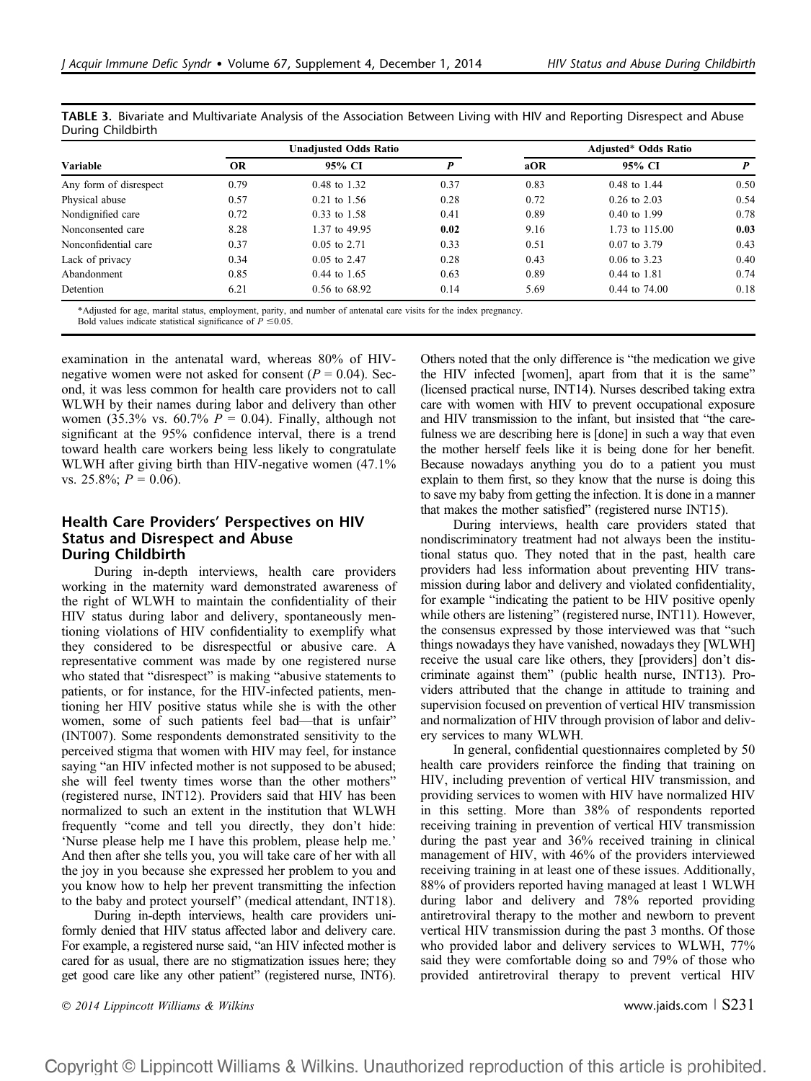|                        | <b>Unadjusted Odds Ratio</b> |                  |      | <b>Adjusted* Odds Ratio</b> |                         |      |
|------------------------|------------------------------|------------------|------|-----------------------------|-------------------------|------|
| Variable               | <b>OR</b>                    | 95% CI           | P    | aOR                         | 95% CI                  | P    |
| Any form of disrespect | 0.79                         | 0.48 to 1.32     | 0.37 | 0.83                        | 0.48 to 1.44            | 0.50 |
| Physical abuse         | 0.57                         | $0.21$ to 1.56   | 0.28 | 0.72                        | $0.26$ to $2.03$        | 0.54 |
| Nondignified care      | 0.72                         | 0.33 to 1.58     | 0.41 | 0.89                        | $0.40 \text{ to } 1.99$ | 0.78 |
| Nonconsented care      | 8.28                         | 1.37 to 49.95    | 0.02 | 9.16                        | 1.73 to 115.00          | 0.03 |
| Nonconfidential care   | 0.37                         | $0.05$ to 2.71   | 0.33 | 0.51                        | $0.07$ to 3.79          | 0.43 |
| Lack of privacy        | 0.34                         | $0.05$ to $2.47$ | 0.28 | 0.43                        | $0.06 \text{ to } 3.23$ | 0.40 |
| Abandonment            | 0.85                         | $0.44$ to 1.65   | 0.63 | 0.89                        | 0.44 to 1.81            | 0.74 |
| Detention              | 6.21                         | 0.56 to 68.92    | 0.14 | 5.69                        | $0.44$ to $74.00$       | 0.18 |

TABLE 3. Bivariate and Multivariate Analysis of the Association Between Living with HIV and Reporting Disrespect and Abuse During Childbirth

\*Adjusted for age, marital status, employment, parity, and number of antenatal care visits for the index pregnancy.<br>Bold values indicate statistical significance of  $P \le 0.05$ .

examination in the antenatal ward, whereas 80% of HIVnegative women were not asked for consent ( $P = 0.04$ ). Second, it was less common for health care providers not to call WLWH by their names during labor and delivery than other women (35.3% vs. 60.7%  $P = 0.04$ ). Finally, although not significant at the 95% confidence interval, there is a trend toward health care workers being less likely to congratulate WLWH after giving birth than HIV-negative women (47.1%) vs. 25.8%;  $P = 0.06$ ).

# Health Care Providers' Perspectives on HIV Status and Disrespect and Abuse During Childbirth

During in-depth interviews, health care providers working in the maternity ward demonstrated awareness of the right of WLWH to maintain the confidentiality of their HIV status during labor and delivery, spontaneously mentioning violations of HIV confidentiality to exemplify what they considered to be disrespectful or abusive care. A representative comment was made by one registered nurse who stated that "disrespect" is making "abusive statements to patients, or for instance, for the HIV-infected patients, mentioning her HIV positive status while she is with the other women, some of such patients feel bad—that is unfair" (INT007). Some respondents demonstrated sensitivity to the perceived stigma that women with HIV may feel, for instance saying "an HIV infected mother is not supposed to be abused; she will feel twenty times worse than the other mothers" (registered nurse, INT12). Providers said that HIV has been normalized to such an extent in the institution that WLWH frequently "come and tell you directly, they don't hide: 'Nurse please help me I have this problem, please help me.' And then after she tells you, you will take care of her with all the joy in you because she expressed her problem to you and you know how to help her prevent transmitting the infection to the baby and protect yourself" (medical attendant, INT18).

During in-depth interviews, health care providers uniformly denied that HIV status affected labor and delivery care. For example, a registered nurse said, "an HIV infected mother is cared for as usual, there are no stigmatization issues here; they get good care like any other patient" (registered nurse, INT6).

Others noted that the only difference is "the medication we give the HIV infected [women], apart from that it is the same" (licensed practical nurse, INT14). Nurses described taking extra care with women with HIV to prevent occupational exposure and HIV transmission to the infant, but insisted that "the carefulness we are describing here is [done] in such a way that even the mother herself feels like it is being done for her benefit. Because nowadays anything you do to a patient you must explain to them first, so they know that the nurse is doing this to save my baby from getting the infection. It is done in a manner that makes the mother satisfied" (registered nurse INT15).

During interviews, health care providers stated that nondiscriminatory treatment had not always been the institutional status quo. They noted that in the past, health care providers had less information about preventing HIV transmission during labor and delivery and violated confidentiality, for example "indicating the patient to be HIV positive openly while others are listening" (registered nurse, INT11). However, the consensus expressed by those interviewed was that "such things nowadays they have vanished, nowadays they [WLWH] receive the usual care like others, they [providers] don't discriminate against them" (public health nurse, INT13). Providers attributed that the change in attitude to training and supervision focused on prevention of vertical HIV transmission and normalization of HIV through provision of labor and delivery services to many WLWH.

In general, confidential questionnaires completed by 50 health care providers reinforce the finding that training on HIV, including prevention of vertical HIV transmission, and providing services to women with HIV have normalized HIV in this setting. More than 38% of respondents reported receiving training in prevention of vertical HIV transmission during the past year and 36% received training in clinical management of HIV, with 46% of the providers interviewed receiving training in at least one of these issues. Additionally, 88% of providers reported having managed at least 1 WLWH during labor and delivery and 78% reported providing antiretroviral therapy to the mother and newborn to prevent vertical HIV transmission during the past 3 months. Of those who provided labor and delivery services to WLWH, 77% said they were comfortable doing so and 79% of those who provided antiretroviral therapy to prevent vertical HIV

 $\degree$  2014 Lippincott Williams & Wilkins www.jaids.com  $\degree$  S231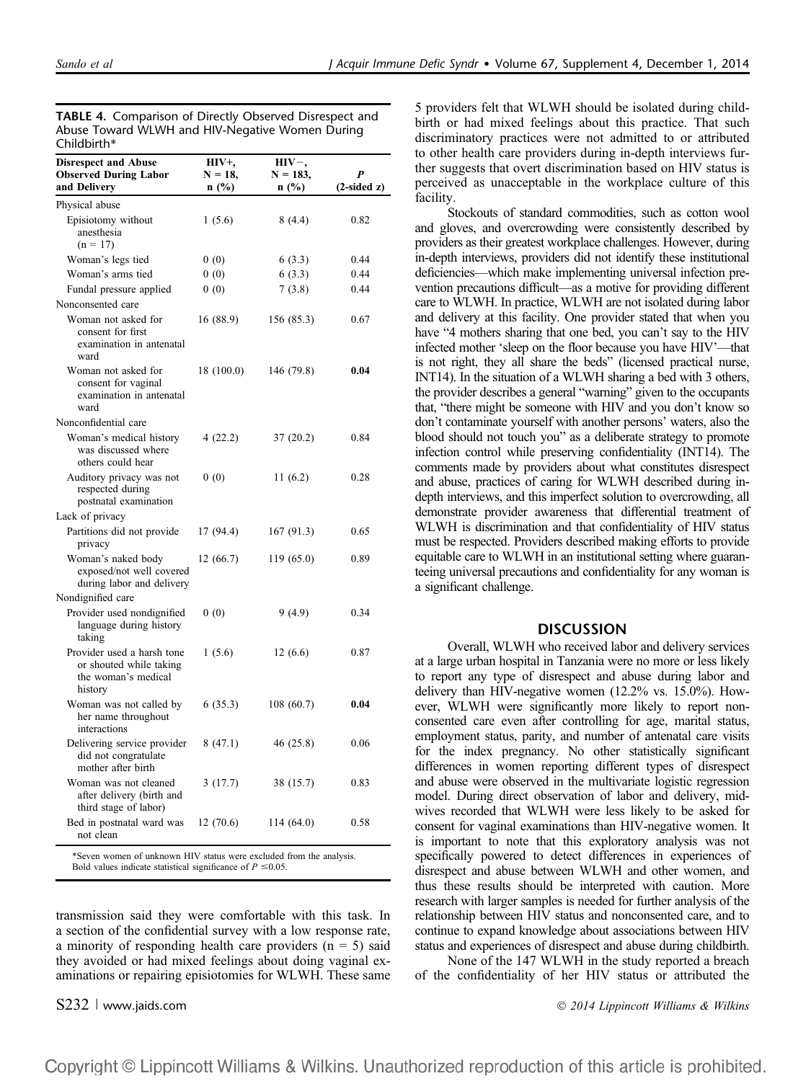| P<br>$(2-sided z)$ |
|--------------------|
|                    |
| 0.82               |
| 0.44               |
| 0.44               |
| 0.44               |
|                    |
| 0.67               |
| 0.04               |
|                    |
| 0.84               |
| 0.28               |
|                    |
| 0.65               |
| 0.89               |
|                    |
| 0.34               |
| 0.87               |
| 0.04               |
| 0.06               |
| 0.83               |
| 0.58               |
|                    |

TABLE 4. Comparison of Directly Observed Disrespect and Abuse Toward WLWH and HIV-Negative Women During Childbirth\*

Bold values indicate statistical significance of  $P \le 0.05$ .

transmission said they were comfortable with this task. In a section of the confidential survey with a low response rate, a minority of responding health care providers  $(n = 5)$  said they avoided or had mixed feelings about doing vaginal examinations or repairing episiotomies for WLWH. These same

5 providers felt that WLWH should be isolated during childbirth or had mixed feelings about this practice. That such discriminatory practices were not admitted to or attributed to other health care providers during in-depth interviews further suggests that overt discrimination based on HIV status is perceived as unacceptable in the workplace culture of this facility.

Stockouts of standard commodities, such as cotton wool and gloves, and overcrowding were consistently described by providers as their greatest workplace challenges. However, during in-depth interviews, providers did not identify these institutional deficiencies—which make implementing universal infection prevention precautions difficult—as a motive for providing different care to WLWH. In practice, WLWH are not isolated during labor and delivery at this facility. One provider stated that when you have "4 mothers sharing that one bed, you can't say to the HIV infected mother 'sleep on the floor because you have HIV'—that is not right, they all share the beds" (licensed practical nurse, INT14). In the situation of a WLWH sharing a bed with 3 others, the provider describes a general "warning" given to the occupants that, "there might be someone with HIV and you don't know so don't contaminate yourself with another persons' waters, also the blood should not touch you" as a deliberate strategy to promote infection control while preserving confidentiality (INT14). The comments made by providers about what constitutes disrespect and abuse, practices of caring for WLWH described during indepth interviews, and this imperfect solution to overcrowding, all demonstrate provider awareness that differential treatment of WLWH is discrimination and that confidentiality of HIV status must be respected. Providers described making efforts to provide equitable care to WLWH in an institutional setting where guaranteeing universal precautions and confidentiality for any woman is a significant challenge.

#### **DISCUSSION**

Overall, WLWH who received labor and delivery services at a large urban hospital in Tanzania were no more or less likely to report any type of disrespect and abuse during labor and delivery than HIV-negative women (12.2% vs. 15.0%). However, WLWH were significantly more likely to report nonconsented care even after controlling for age, marital status, employment status, parity, and number of antenatal care visits for the index pregnancy. No other statistically significant differences in women reporting different types of disrespect and abuse were observed in the multivariate logistic regression model. During direct observation of labor and delivery, midwives recorded that WLWH were less likely to be asked for consent for vaginal examinations than HIV-negative women. It is important to note that this exploratory analysis was not specifically powered to detect differences in experiences of disrespect and abuse between WLWH and other women, and thus these results should be interpreted with caution. More research with larger samples is needed for further analysis of the relationship between HIV status and nonconsented care, and to continue to expand knowledge about associations between HIV status and experiences of disrespect and abuse during childbirth.

None of the 147 WLWH in the study reported a breach of the confidentiality of her HIV status or attributed the

S232 <sup>|</sup> www.jaids.com 2014 Lippincott Williams & Wilkins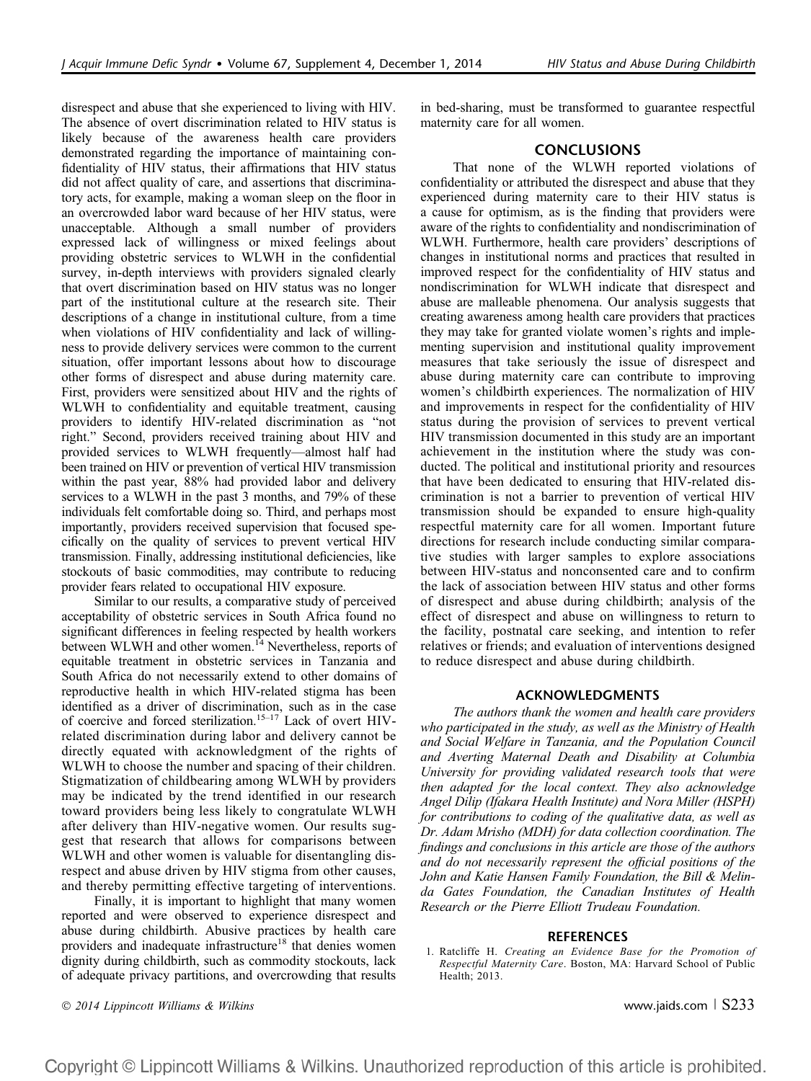disrespect and abuse that she experienced to living with HIV. The absence of overt discrimination related to HIV status is likely because of the awareness health care providers demonstrated regarding the importance of maintaining confidentiality of HIV status, their affirmations that HIV status did not affect quality of care, and assertions that discriminatory acts, for example, making a woman sleep on the floor in an overcrowded labor ward because of her HIV status, were unacceptable. Although a small number of providers expressed lack of willingness or mixed feelings about providing obstetric services to WLWH in the confidential survey, in-depth interviews with providers signaled clearly that overt discrimination based on HIV status was no longer part of the institutional culture at the research site. Their descriptions of a change in institutional culture, from a time when violations of HIV confidentiality and lack of willingness to provide delivery services were common to the current situation, offer important lessons about how to discourage other forms of disrespect and abuse during maternity care. First, providers were sensitized about HIV and the rights of WLWH to confidentiality and equitable treatment, causing providers to identify HIV-related discrimination as "not right." Second, providers received training about HIV and provided services to WLWH frequently—almost half had been trained on HIV or prevention of vertical HIV transmission within the past year, 88% had provided labor and delivery services to a WLWH in the past 3 months, and 79% of these individuals felt comfortable doing so. Third, and perhaps most importantly, providers received supervision that focused specifically on the quality of services to prevent vertical HIV transmission. Finally, addressing institutional deficiencies, like stockouts of basic commodities, may contribute to reducing provider fears related to occupational HIV exposure.

Similar to our results, a comparative study of perceived acceptability of obstetric services in South Africa found no significant differences in feeling respected by health workers between WLWH and other women.<sup>14</sup> Nevertheless, reports of equitable treatment in obstetric services in Tanzania and South Africa do not necessarily extend to other domains of reproductive health in which HIV-related stigma has been identified as a driver of discrimination, such as in the case of coercive and forced sterilization.15–<sup>17</sup> Lack of overt HIVrelated discrimination during labor and delivery cannot be directly equated with acknowledgment of the rights of WLWH to choose the number and spacing of their children. Stigmatization of childbearing among WLWH by providers may be indicated by the trend identified in our research toward providers being less likely to congratulate WLWH after delivery than HIV-negative women. Our results suggest that research that allows for comparisons between WLWH and other women is valuable for disentangling disrespect and abuse driven by HIV stigma from other causes, and thereby permitting effective targeting of interventions.

Finally, it is important to highlight that many women reported and were observed to experience disrespect and abuse during childbirth. Abusive practices by health care providers and inadequate infrastructure<sup>18</sup> that denies women dignity during childbirth, such as commodity stockouts, lack of adequate privacy partitions, and overcrowding that results in bed-sharing, must be transformed to guarantee respectful maternity care for all women.

# **CONCLUSIONS**

That none of the WLWH reported violations of confidentiality or attributed the disrespect and abuse that they experienced during maternity care to their HIV status is a cause for optimism, as is the finding that providers were aware of the rights to confidentiality and nondiscrimination of WLWH. Furthermore, health care providers' descriptions of changes in institutional norms and practices that resulted in improved respect for the confidentiality of HIV status and nondiscrimination for WLWH indicate that disrespect and abuse are malleable phenomena. Our analysis suggests that creating awareness among health care providers that practices they may take for granted violate women's rights and implementing supervision and institutional quality improvement measures that take seriously the issue of disrespect and abuse during maternity care can contribute to improving women's childbirth experiences. The normalization of HIV and improvements in respect for the confidentiality of HIV status during the provision of services to prevent vertical HIV transmission documented in this study are an important achievement in the institution where the study was conducted. The political and institutional priority and resources that have been dedicated to ensuring that HIV-related discrimination is not a barrier to prevention of vertical HIV transmission should be expanded to ensure high-quality respectful maternity care for all women. Important future directions for research include conducting similar comparative studies with larger samples to explore associations between HIV-status and nonconsented care and to confirm the lack of association between HIV status and other forms of disrespect and abuse during childbirth; analysis of the effect of disrespect and abuse on willingness to return to the facility, postnatal care seeking, and intention to refer relatives or friends; and evaluation of interventions designed to reduce disrespect and abuse during childbirth.

#### ACKNOWLEDGMENTS

The authors thank the women and health care providers who participated in the study, as well as the Ministry of Health and Social Welfare in Tanzania, and the Population Council and Averting Maternal Death and Disability at Columbia University for providing validated research tools that were then adapted for the local context. They also acknowledge Angel Dilip (Ifakara Health Institute) and Nora Miller (HSPH) for contributions to coding of the qualitative data, as well as Dr. Adam Mrisho (MDH) for data collection coordination. The findings and conclusions in this article are those of the authors and do not necessarily represent the official positions of the John and Katie Hansen Family Foundation, the Bill & Melinda Gates Foundation, the Canadian Institutes of Health Research or the Pierre Elliott Trudeau Foundation.

## **REFERENCES**

1. Ratcliffe H. Creating an Evidence Base for the Promotion of Respectful Maternity Care. Boston, MA: Harvard School of Public Health; 2013.

© 2014 Lippincott Williams & Wilkins www.jaids.com  $\sim$  S233